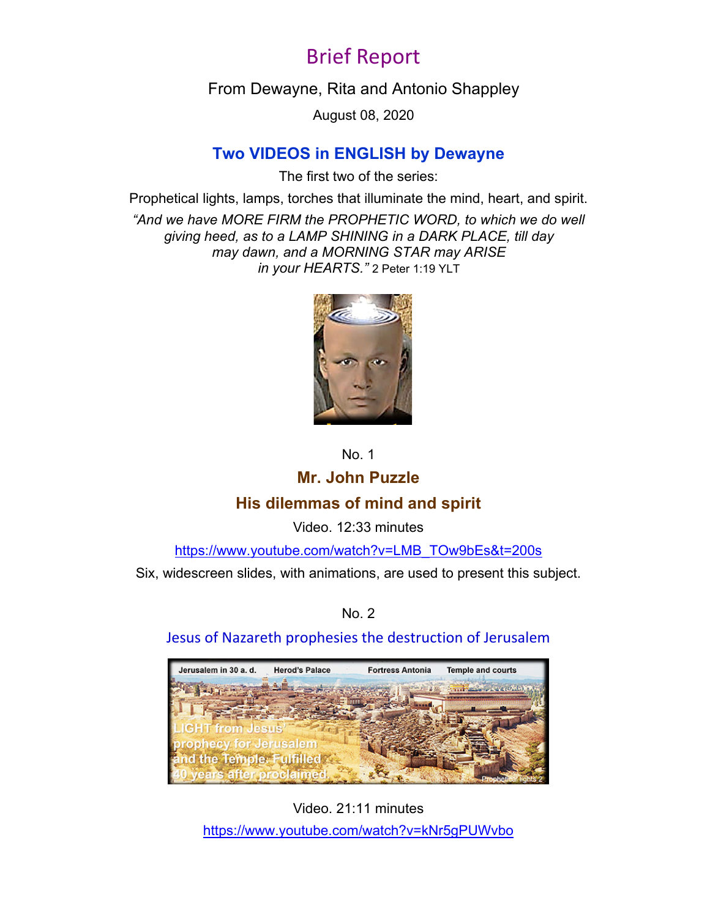## Brief Report

From Dewayne, Rita and Antonio Shappley

August 08, 2020

### **Two VIDEOS in ENGLISH by Dewayne**

The first two of the series:

Prophetical lights, lamps, torches that illuminate the mind, heart, and spirit.

*"And we have MORE FIRM the PROPHETIC WORD, to which we do well giving heed, as to a LAMP SHINING in a DARK PLACE, till day may dawn, and a MORNING STAR may ARISE in your HEARTS."* 2 Peter 1:19 YLT



No. 1

# **Mr. John Puzzle**

### **His dilemmas of mind and spirit**

Video. 12:33 minutes

[https://www.youtube.com/watch?v=LMB\\_TOw9bEs&t=200s](https://www.youtube.com/watch?v=LMB_TOw9bEs&t=200s)

Six, widescreen slides, with animations, are used to present this subject.

No. 2

#### Jesus of Nazareth prophesies the destruction of Jerusalem



Video. 21:11 minutes <https://www.youtube.com/watch?v=kNr5gPUWvbo>